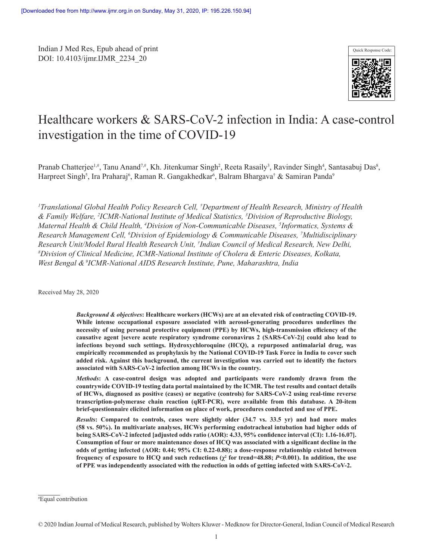Indian J Med Res, Epub ahead of print DOI: 10.4103/ijmr.IJMR\_2234\_20



# Healthcare workers & SARS-CoV-2 infection in India: A case-control investigation in the time of COVID-19

Pranab Chatterjee<sup>1,#</sup>, Tanu Anand<sup>7,#</sup>, Kh. Jitenkumar Singh<sup>2</sup>, Reeta Rasaily<sup>3</sup>, Ravinder Singh<sup>4</sup>, Santasabuj Das<sup>8</sup>, Harpreet Singh<sup>5</sup>, Ira Praharaj<sup>6</sup>, Raman R. Gangakhedkar<sup>6</sup>, Balram Bhargava† & Samiran Panda<sup>9</sup>

*1 Translational Global Health Policy Research Cell, † Department of Health Research, Ministry of Health & Family Welfare, 2 ICMR-National Institute of Medical Statistics, 3 Division of Reproductive Biology, Maternal Health & Child Health, 4 Division of Non-Communicable Diseases, 5 Informatics, Systems & Research Management Cell, 6 Division of Epidemiology & Communicable Diseases, 7 Multidisciplinary*  Research Unit/Model Rural Health Research Unit, <sup>†</sup>Indian Council of Medical Research, New Delhi,<br><sup>8</sup>Division of Clinical Medicine, JCMR-National Institute of Cholera & Enteric Diseases, Kolkata *Division of Clinical Medicine, ICMR-National Institute of Cholera & Enteric Diseases, Kolkata, West Bengal & 9ICMR-National AIDS Research Institute, Pune, Maharashtra, India*

Received May 28, 2020

*Background & objectives***: Healthcare workers (HCWs) are at an elevated risk of contracting COVID-19. While intense occupational exposure associated with aerosol-generating procedures underlines the necessity of using personal protective equipment (PPE) by HCWs, high-transmission efficiency of the causative agent [severe acute respiratory syndrome coronavirus 2 (SARS-CoV-2)] could also lead to infections beyond such settings. Hydroxychloroquine (HCQ), a repurposed antimalarial drug, was empirically recommended as prophylaxis by the National COVID-19 Task Force in India to cover such added risk. Against this background, the current investigation was carried out to identify the factors associated with SARS-CoV-2 infection among HCWs in the country.**

*Methods***: A case-control design was adopted and participants were randomly drawn from the countrywide COVID-19 testing data portal maintained by the ICMR. The test results and contact details of HCWs, diagnosed as positive (cases) or negative (controls) for SARS-CoV-2 using real-time reverse transcription-polymerase chain reaction (qRT-PCR), were available from this database. A 20-item brief-questionnaire elicited information on place of work, procedures conducted and use of PPE.**

*Results***: Compared to controls, cases were slightly older (34.7 vs. 33.5 yr) and had more males (58 vs. 50%). In multivariate analyses, HCWs performing endotracheal intubation had higher odds of being SARS-CoV-2 infected [adjusted odds ratio (AOR): 4.33, 95% confidence interval (CI): 1.16-16.07]. Consumption of four or more maintenance doses of HCQ was associated with a significant decline in the odds of getting infected (AOR: 0.44; 95% CI: 0.22-0.88); a dose-response relationship existed between frequency of exposure to HCQ and such reductions**  $(\chi^2$  **for trend=48.88;**  $P$ **<0.001). In addition, the use of PPE was independently associated with the reduction in odds of getting infected with SARS-CoV-2.**

<sup>#</sup> Equal contribution

<sup>© 2020</sup> Indian Journal of Medical Research, published by Wolters Kluwer - Medknow for Director-General, Indian Council of Medical Research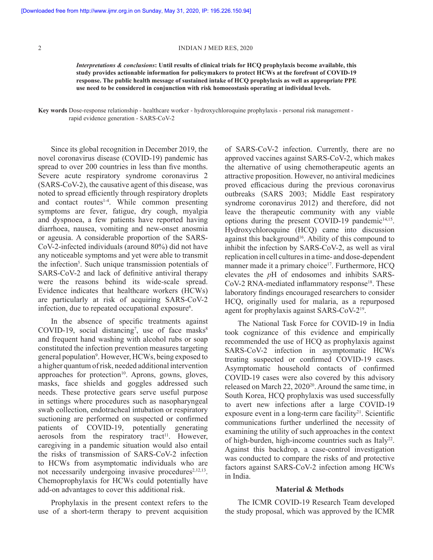*Interpretations & conclusions***: Until results of clinical trials for HCQ prophylaxis become available, this study provides actionable information for policymakers to protect HCWs at the forefront of COVID-19 response. The public health message of sustained intake of HCQ prophylaxis as well as appropriate PPE use need to be considered in conjunction with risk homoeostasis operating at individual levels.**

**Key words** Dose-response relationship - healthcare worker - hydroxychloroquine prophylaxis - personal risk management rapid evidence generation - SARS-CoV-2

Since its global recognition in December 2019, the novel coronavirus disease (COVID-19) pandemic has spread to over 200 countries in less than five months. Severe acute respiratory syndrome coronavirus 2 (SARS-CoV-2), the causative agent of this disease, was noted to spread efficiently through respiratory droplets and contact routes<sup>1-4</sup>. While common presenting symptoms are fever, fatigue, dry cough, myalgia and dyspnoea, a few patients have reported having diarrhoea, nausea, vomiting and new-onset anosmia or ageusia. A considerable proportion of the SARS-CoV-2-infected individuals (around 80%) did not have any noticeable symptoms and yet were able to transmit the infection<sup>5</sup>. Such unique transmission potentials of SARS-CoV-2 and lack of definitive antiviral therapy were the reasons behind its wide-scale spread. Evidence indicates that healthcare workers (HCWs) are particularly at risk of acquiring SARS-CoV-2 infection, due to repeated occupational exposure<sup>6</sup>.

In the absence of specific treatments against COVID-19, social distancing<sup>7</sup>, use of face masks<sup>8</sup> and frequent hand washing with alcohol rubs or soap constituted the infection prevention measures targeting general population9 . However, HCWs, being exposed to a higher quantum of risk, needed additional intervention approaches for protection $10$ . Aprons, gowns, gloves, masks, face shields and goggles addressed such needs. These protective gears serve useful purpose in settings where procedures such as nasopharyngeal swab collection, endotracheal intubation or respiratory suctioning are performed on suspected or confirmed patients of COVID-19, potentially generating  $\alpha$  aerosols from the respiratory tract<sup>11</sup>. However, caregiving in a pandemic situation would also entail the risks of transmission of SARS-CoV-2 infection to HCWs from asymptomatic individuals who are not necessarily undergoing invasive procedures<sup>2,12,13</sup>. Chemoprophylaxis for HCWs could potentially have add-on advantages to cover this additional risk.

Prophylaxis in the present context refers to the use of a short-term therapy to prevent acquisition of SARS-CoV-2 infection. Currently, there are no approved vaccines against SARS-CoV-2, which makes the alternative of using chemotherapeutic agents an attractive proposition. However, no antiviral medicines proved efficacious during the previous coronavirus outbreaks (SARS 2003; Middle East respiratory syndrome coronavirus 2012) and therefore, did not leave the therapeutic community with any viable options during the present COVID-19 pandemic $14,15$ . Hydroxychloroquine (HCQ) came into discussion against this background<sup>16</sup>. Ability of this compound to inhibit the infection by SARS-CoV-2, as well as viral replication in cell cultures in a time- and dose-dependent manner made it a primary choice<sup>17</sup>. Furthermore, HCQ elevates the *p*H of endosomes and inhibits SARS-CoV-2 RNA-mediated inflammatory response<sup>18</sup>. These laboratory findings encouraged researchers to consider HCQ, originally used for malaria, as a repurposed agent for prophylaxis against SARS-CoV-219.

The National Task Force for COVID-19 in India took cognizance of this evidence and empirically recommended the use of HCQ as prophylaxis against SARS-CoV-2 infection in asymptomatic HCWs treating suspected or confirmed COVID-19 cases. Asymptomatic household contacts of confirmed COVID-19 cases were also covered by this advisory released on March 22, 2020<sup>20</sup>. Around the same time, in South Korea, HCQ prophylaxis was used successfully to avert new infections after a large COVID-19 exposure event in a long-term care facility<sup>21</sup>. Scientific communications further underlined the necessity of examining the utility of such approaches in the context of high-burden, high-income countries such as Italy<sup>22</sup>. Against this backdrop, a case-control investigation was conducted to compare the risks of and protective factors against SARS-CoV-2 infection among HCWs in India.

## **Material & Methods**

The ICMR COVID-19 Research Team developed the study proposal, which was approved by the ICMR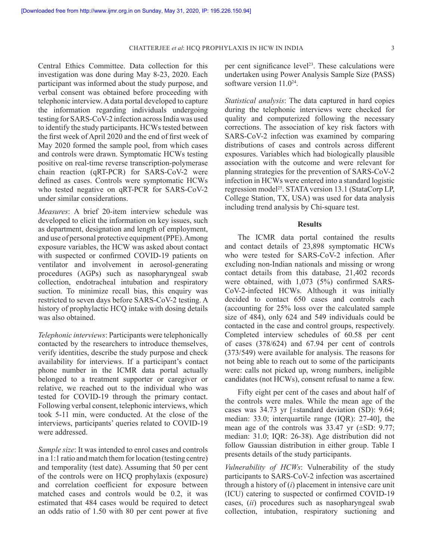Central Ethics Committee. Data collection for this investigation was done during May 8-23, 2020. Each participant was informed about the study purpose, and verbal consent was obtained before proceeding with telephonic interview. A data portal developed to capture the information regarding individuals undergoing testing for SARS-CoV-2 infection across India was used to identify the study participants. HCWs tested between the first week of April 2020 and the end of first week of May 2020 formed the sample pool, from which cases and controls were drawn. Symptomatic HCWs testing positive on real-time reverse transcription-polymerase chain reaction (qRT-PCR) for SARS-CoV-2 were defined as cases. Controls were symptomatic HCWs who tested negative on qRT-PCR for SARS-CoV-2 under similar considerations.

*Measures*: A brief 20-item interview schedule was developed to elicit the information on key issues, such as department, designation and length of employment, and use of personal protective equipment (PPE). Among exposure variables, the HCW was asked about contact with suspected or confirmed COVID-19 patients on ventilator and involvement in aerosol-generating procedures (AGPs) such as nasopharyngeal swab collection, endotracheal intubation and respiratory suction. To minimize recall bias, this enquiry was restricted to seven days before SARS-CoV-2 testing. A history of prophylactic HCQ intake with dosing details was also obtained.

*Telephonic interviews*: Participants were telephonically contacted by the researchers to introduce themselves, verify identities, describe the study purpose and check availability for interviews. If a participant's contact phone number in the ICMR data portal actually belonged to a treatment supporter or caregiver or relative, we reached out to the individual who was tested for COVID-19 through the primary contact. Following verbal consent, telephonic interviews, which took 5-11 min, were conducted. At the close of the interviews, participants' queries related to COVID-19 were addressed.

*Sample size*: It was intended to enrol cases and controls in a 1:1 ratio and match them for location (testing centre) and temporality (test date). Assuming that 50 per cent of the controls were on HCQ prophylaxis (exposure) and correlation coefficient for exposure between matched cases and controls would be 0.2, it was estimated that 484 cases would be required to detect an odds ratio of 1.50 with 80 per cent power at five

per cent significance level<sup>23</sup>. These calculations were undertaken using Power Analysis Sample Size (PASS) software version 11.024.

*Statistical analysis*: The data captured in hard copies during the telephonic interviews were checked for quality and computerized following the necessary corrections. The association of key risk factors with SARS-CoV-2 infection was examined by comparing distributions of cases and controls across different exposures. Variables which had biologically plausible association with the outcome and were relevant for planning strategies for the prevention of SARS-CoV-2 infection in HCWs were entered into a standard logistic regression model<sup>25</sup>. STATA version 13.1 (StataCorp LP, College Station, TX, USA) was used for data analysis including trend analysis by Chi-square test.

## **Results**

The ICMR data portal contained the results and contact details of 23,898 symptomatic HCWs who were tested for SARS-CoV-2 infection. After excluding non-Indian nationals and missing or wrong contact details from this database, 21,402 records were obtained, with 1,073 (5%) confirmed SARS-CoV-2-infected HCWs. Although it was initially decided to contact 650 cases and controls each (accounting for 25% loss over the calculated sample size of 484), only 624 and 549 individuals could be contacted in the case and control groups, respectively. Completed interview schedules of 60.58 per cent of cases (378/624) and 67.94 per cent of controls (373/549) were available for analysis. The reasons for not being able to reach out to some of the participants were: calls not picked up, wrong numbers, ineligible candidates (not HCWs), consent refusal to name a few.

Fifty eight per cent of the cases and about half of the controls were males. While the mean age of the cases was 34.73 yr [±standard deviation (SD): 9.64; median: 33.0; interquartile range (IQR): 27-40], the mean age of the controls was  $33.47$  yr  $(\pm SD: 9.77)$ ; median: 31.0; IQR: 26-38). Age distribution did not follow Gaussian distribution in either group. Table I presents details of the study participants.

*Vulnerability of HCWs*: Vulnerability of the study participants to SARS-CoV-2 infection was ascertained through a history of (*i*) placement in intensive care unit (ICU) catering to suspected or confirmed COVID-19 cases, (*ii*) procedures such as nasopharyngeal swab collection, intubation, respiratory suctioning and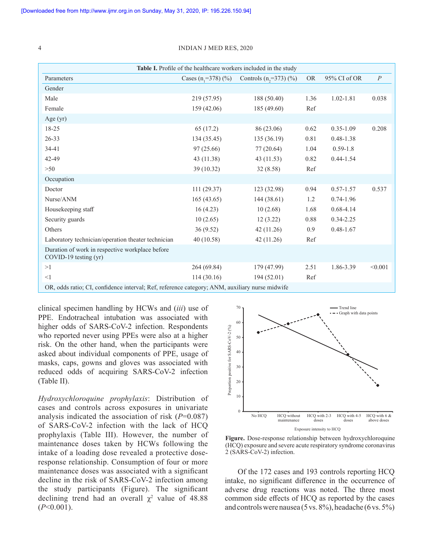| Table I. Profile of the healthcare workers included in the study                            |                       |                          |           |               |                  |  |  |
|---------------------------------------------------------------------------------------------|-----------------------|--------------------------|-----------|---------------|------------------|--|--|
| Parameters                                                                                  | Cases $(n_1=378)$ (%) | Controls $(n, =373)$ (%) | <b>OR</b> | 95% CI of OR  | $\boldsymbol{P}$ |  |  |
| Gender                                                                                      |                       |                          |           |               |                  |  |  |
| Male                                                                                        | 219 (57.95)           | 188 (50.40)              | 1.36      | $1.02 - 1.81$ | 0.038            |  |  |
| Female                                                                                      | 159(42.06)            | 185 (49.60)              | Ref       |               |                  |  |  |
| Age $(yr)$                                                                                  |                       |                          |           |               |                  |  |  |
| 18-25                                                                                       | 65 (17.2)             | 86 (23.06)               | 0.62      | $0.35 - 1.09$ | 0.208            |  |  |
| $26 - 33$                                                                                   | 134(35.45)            | 135(36.19)               | 0.81      | $0.48 - 1.38$ |                  |  |  |
| 34-41                                                                                       | 97(25.66)             | 77(20.64)                | 1.04      | $0.59 - 1.8$  |                  |  |  |
| 42-49                                                                                       | 43(11.38)             | 43 (11.53)               | 0.82      | $0.44 - 1.54$ |                  |  |  |
| $>50$                                                                                       | 39 (10.32)            | 32(8.58)                 | Ref       |               |                  |  |  |
| Occupation                                                                                  |                       |                          |           |               |                  |  |  |
| Doctor                                                                                      | 111(29.37)            | 123 (32.98)              | 0.94      | $0.57 - 1.57$ | 0.537            |  |  |
| Nurse/ANM                                                                                   | 165(43.65)            | 144(38.61)               | 1.2       | $0.74 - 1.96$ |                  |  |  |
| Housekeeping staff                                                                          | 16(4.23)              | 10(2.68)                 | 1.68      | $0.68 - 4.14$ |                  |  |  |
| Security guards                                                                             | 10(2.65)              | 12(3.22)                 | 0.88      | $0.34 - 2.25$ |                  |  |  |
| Others                                                                                      | 36(9.52)              | 42(11.26)                | 0.9       | $0.48 - 1.67$ |                  |  |  |
| Laboratory technician/operation theater technician                                          | 40(10.58)             | 42 (11.26)               | Ref       |               |                  |  |  |
| Duration of work in respective workplace before<br>COVID-19 testing (yr)                    |                       |                          |           |               |                  |  |  |
| >1                                                                                          | 264 (69.84)           | 179 (47.99)              | 2.51      | 1.86-3.39     | < 0.001          |  |  |
| <1                                                                                          | 114(30.16)            | 194(52.01)               | Ref       |               |                  |  |  |
| OR odds ratio: CL confidence interval: Ref. reference category: ANM auviliary nurse midwife |                       |                          |           |               |                  |  |  |

OR, odds ratio; CI, confidence interval; Ref, reference category; ANM, auxiliary nurse midwife

clinical specimen handling by HCWs and (*iii*) use of PPE. Endotracheal intubation was associated with higher odds of SARS-CoV-2 infection. Respondents who reported never using PPEs were also at a higher risk. On the other hand, when the participants were asked about individual components of PPE, usage of masks, caps, gowns and gloves was associated with reduced odds of acquiring SARS-CoV-2 infection (Table II).

*Hydroxychloroquine prophylaxis*: Distribution of cases and controls across exposures in univariate analysis indicated the association of risk (*P*=0.087) of SARS-CoV-2 infection with the lack of HCQ prophylaxis (Table III). However, the number of maintenance doses taken by HCWs following the intake of a loading dose revealed a protective doseresponse relationship. Consumption of four or more maintenance doses was associated with a significant decline in the risk of SARS-CoV-2 infection among the study participants (Figure). The significant declining trend had an overall  $\chi^2$  value of 48.88 (*P*<0.001).



**Figure.** Dose-response relationship between hydroxychloroquine (HCQ) exposure and severe acute respiratory syndrome coronavirus 2 (SARS-CoV-2) infection.

Of the 172 cases and 193 controls reporting HCQ intake, no significant difference in the occurrence of adverse drug reactions was noted. The three most common side effects of HCQ as reported by the cases and controls were nausea (5 vs.  $8\%$ ), headache (6 vs.  $5\%$ )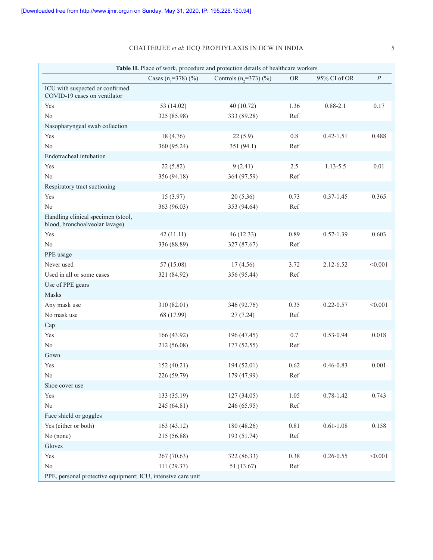## CHATTERJEE *et al*: HCQ PROPHYLAXIS IN HCW IN INDIA 5

| Table II. Place of work, procedure and protection details of healthcare workers |                       |                             |           |               |                  |  |  |
|---------------------------------------------------------------------------------|-----------------------|-----------------------------|-----------|---------------|------------------|--|--|
|                                                                                 | Cases $(n, =378)$ (%) | Controls $(n, =373)$ $(\%)$ | <b>OR</b> | 95% CI of OR  | $\boldsymbol{P}$ |  |  |
| ICU with suspected or confirmed<br>COVID-19 cases on ventilator                 |                       |                             |           |               |                  |  |  |
| Yes                                                                             | 53 (14.02)            | 40 (10.72)                  | 1.36      | $0.88 - 2.1$  | 0.17             |  |  |
| No                                                                              | 325 (85.98)           | 333 (89.28)                 | Ref       |               |                  |  |  |
| Nasopharyngeal swab collection                                                  |                       |                             |           |               |                  |  |  |
| Yes                                                                             | 18 (4.76)             | 22(5.9)                     | $0.8\,$   | $0.42 - 1.51$ | 0.488            |  |  |
| No                                                                              | 360 (95.24)           | 351 (94.1)                  | Ref       |               |                  |  |  |
| Endotracheal intubation                                                         |                       |                             |           |               |                  |  |  |
| Yes                                                                             | 22(5.82)              | 9(2.41)                     | 2.5       | 1.13-5.5      | 0.01             |  |  |
| No                                                                              | 356 (94.18)           | 364 (97.59)                 | Ref       |               |                  |  |  |
| Respiratory tract suctioning                                                    |                       |                             |           |               |                  |  |  |
| Yes                                                                             | 15(3.97)              | 20(5.36)                    | 0.73      | $0.37 - 1.45$ | 0.365            |  |  |
| No                                                                              | 363 (96.03)           | 353 (94.64)                 | Ref       |               |                  |  |  |
| Handling clinical specimen (stool,<br>blood, bronchoalveolar lavage)            |                       |                             |           |               |                  |  |  |
| Yes                                                                             | 42(11.11)             | 46 (12.33)                  | 0.89      | $0.57 - 1.39$ | 0.603            |  |  |
| No                                                                              | 336 (88.89)           | 327 (87.67)                 | Ref       |               |                  |  |  |
| PPE usage                                                                       |                       |                             |           |               |                  |  |  |
| Never used                                                                      | 57 (15.08)            | 17(4.56)                    | 3.72      | 2.12-6.52     | < 0.001          |  |  |
| Used in all or some cases                                                       | 321 (84.92)           | 356 (95.44)                 | Ref       |               |                  |  |  |
| Use of PPE gears                                                                |                       |                             |           |               |                  |  |  |
| Masks                                                                           |                       |                             |           |               |                  |  |  |
| Any mask use                                                                    | 310 (82.01)           | 346 (92.76)                 | 0.35      | $0.22 - 0.57$ | < 0.001          |  |  |
| No mask use                                                                     | 68 (17.99)            | 27(7.24)                    | Ref       |               |                  |  |  |
| Cap                                                                             |                       |                             |           |               |                  |  |  |
| Yes                                                                             | 166 (43.92)           | 196 (47.45)                 | $0.7\,$   | $0.53 - 0.94$ | 0.018            |  |  |
| No                                                                              | 212 (56.08)           | 177(52.55)                  | Ref       |               |                  |  |  |
| Gown                                                                            |                       |                             |           |               |                  |  |  |
| Yes                                                                             | 152(40.21)            | 194 (52.01)                 | 0.62      | $0.46 - 0.83$ | 0.001            |  |  |
| No                                                                              | 226 (59.79)           | 179 (47.99)                 | Ref       |               |                  |  |  |
| Shoe cover use                                                                  |                       |                             |           |               |                  |  |  |
| Yes                                                                             | 133 (35.19)           | 127(34.05)                  | 1.05      | $0.78 - 1.42$ | 0.743            |  |  |
| $\rm No$                                                                        | 245 (64.81)           | 246 (65.95)                 | Ref       |               |                  |  |  |
| Face shield or goggles                                                          |                       |                             |           |               |                  |  |  |
| Yes (either or both)                                                            | 163(43.12)            | 180 (48.26)                 | 0.81      | $0.61 - 1.08$ | 0.158            |  |  |
| No (none)                                                                       | 215 (56.88)           | 193 (51.74)                 | Ref       |               |                  |  |  |
| Gloves                                                                          |                       |                             |           |               |                  |  |  |
| Yes                                                                             | 267(70.63)            | 322 (86.33)                 | 0.38      | $0.26 - 0.55$ | < 0.001          |  |  |
| $\rm No$                                                                        | 111 (29.37)           | 51 (13.67)                  | Ref       |               |                  |  |  |
| PPE, personal protective equipment; ICU, intensive care unit                    |                       |                             |           |               |                  |  |  |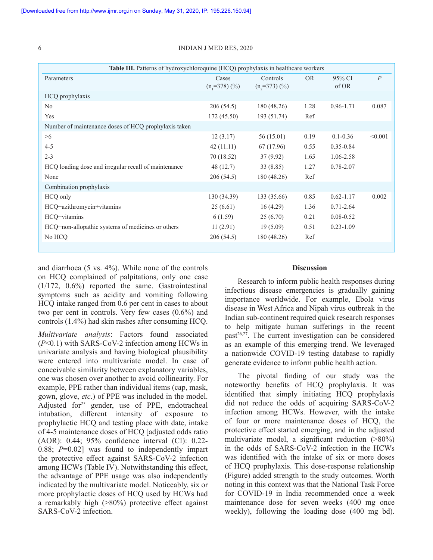| Table III. Patterns of hydroxychloroquine (HCQ) prophylaxis in healthcare workers |                          |                             |           |                 |                |  |
|-----------------------------------------------------------------------------------|--------------------------|-----------------------------|-----------|-----------------|----------------|--|
| Parameters                                                                        | Cases<br>$(n, =378)$ (%) | Controls<br>$(n, =373)$ (%) | <b>OR</b> | 95% CI<br>of OR | $\overline{P}$ |  |
| HCQ prophylaxis                                                                   |                          |                             |           |                 |                |  |
| N <sub>0</sub>                                                                    | 206(54.5)                | 180 (48.26)                 | 1.28      | $0.96 - 1.71$   | 0.087          |  |
| Yes                                                                               | 172(45.50)               | 193 (51.74)                 | Ref       |                 |                |  |
| Number of maintenance doses of HCQ prophylaxis taken                              |                          |                             |           |                 |                |  |
| >6                                                                                | 12(3.17)                 | 56 (15.01)                  | 0.19      | $0.1 - 0.36$    | < 0.001        |  |
| $4 - 5$                                                                           | 42(11.11)                | 67 (17.96)                  | 0.55      | $0.35 - 0.84$   |                |  |
| $2 - 3$                                                                           | 70 (18.52)               | 37(9.92)                    | 1.65      | 1.06-2.58       |                |  |
| HCQ loading dose and irregular recall of maintenance                              | 48 (12.7)                | 33(8.85)                    | 1.27      | $0.78 - 2.07$   |                |  |
| None                                                                              | 206(54.5)                | 180 (48.26)                 | Ref       |                 |                |  |
| Combination prophylaxis                                                           |                          |                             |           |                 |                |  |
| HCQ only                                                                          | 130(34.39)               | 133 (35.66)                 | 0.85      | $0.62 - 1.17$   | 0.002          |  |
| HCQ+azithromycin+vitamins                                                         | 25(6.61)                 | 16(4.29)                    | 1.36      | $0.71 - 2.64$   |                |  |
| HCQ+vitamins                                                                      | 6(1.59)                  | 25(6.70)                    | 0.21      | $0.08 - 0.52$   |                |  |
| HCQ+non-allopathic systems of medicines or others                                 | 11(2.91)                 | 19(5.09)                    | 0.51      | $0.23 - 1.09$   |                |  |
| No HCO                                                                            | 206(54.5)                | 180 (48.26)                 | Ref       |                 |                |  |
|                                                                                   |                          |                             |           |                 |                |  |

and diarrhoea (5 vs. 4%). While none of the controls on HCQ complained of palpitations, only one case (1/172, 0.6%) reported the same. Gastrointestinal symptoms such as acidity and vomiting following HCQ intake ranged from 0.6 per cent in cases to about two per cent in controls. Very few cases (0.6%) and controls (1.4%) had skin rashes after consuming HCQ.

*Multivariate analysis*: Factors found associated (*P*<0.1) with SARS-CoV-2 infection among HCWs in univariate analysis and having biological plausibility were entered into multivariate model. In case of conceivable similarity between explanatory variables, one was chosen over another to avoid collinearity. For example, PPE rather than individual items (cap, mask, gown, glove, *etc*.) of PPE was included in the model. Adjusted for<sup>25</sup> gender, use of PPE, endotracheal intubation, different intensity of exposure to prophylactic HCQ and testing place with date, intake of 4-5 maintenance doses of HCQ [adjusted odds ratio (AOR): 0.44; 95% confidence interval (CI): 0.22- 0.88; *P*=0.02] was found to independently impart the protective effect against SARS-CoV-2 infection among HCWs (Table IV). Notwithstanding this effect, the advantage of PPE usage was also independently indicated by the multivariate model. Noticeably, six or more prophylactic doses of HCQ used by HCWs had a remarkably high (>80%) protective effect against SARS-CoV-2 infection.

## **Discussion**

Research to inform public health responses during infectious disease emergencies is gradually gaining importance worldwide. For example, Ebola virus disease in West Africa and Nipah virus outbreak in the Indian sub-continent required quick research responses to help mitigate human sufferings in the recent  $past<sup>26,27</sup>$ . The current investigation can be considered as an example of this emerging trend. We leveraged a nationwide COVID-19 testing database to rapidly generate evidence to inform public health action.

The pivotal finding of our study was the noteworthy benefits of HCQ prophylaxis. It was identified that simply initiating HCQ prophylaxis did not reduce the odds of acquiring SARS-CoV-2 infection among HCWs. However, with the intake of four or more maintenance doses of HCQ, the protective effect started emerging, and in the adjusted multivariate model, a significant reduction (>80%) in the odds of SARS-CoV-2 infection in the HCWs was identified with the intake of six or more doses of HCQ prophylaxis. This dose-response relationship (Figure) added strength to the study outcomes. Worth noting in this context was that the National Task Force for COVID-19 in India recommended once a week maintenance dose for seven weeks (400 mg once weekly), following the loading dose (400 mg bd).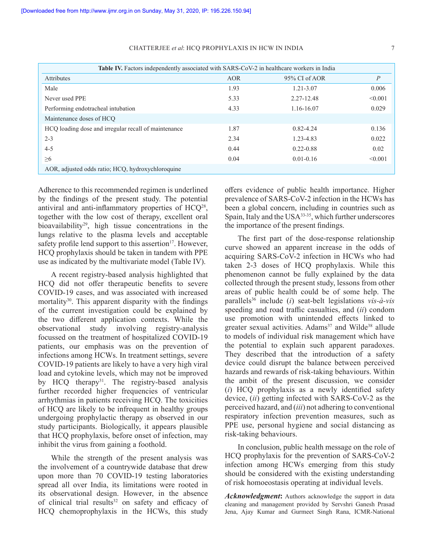| Table IV. Factors independently associated with SARS-CoV-2 in healthcare workers in India |      |               |                |  |  |
|-------------------------------------------------------------------------------------------|------|---------------|----------------|--|--|
| <b>Attributes</b>                                                                         | AOR  | 95% CI of AOR | $\overline{P}$ |  |  |
| Male                                                                                      | 1.93 | 1.21-3.07     | 0.006          |  |  |
| Never used PPE                                                                            | 5.33 | 2.27-12.48    | < 0.001        |  |  |
| Performing endotracheal intubation                                                        | 4.33 | 1.16-16.07    | 0.029          |  |  |
| Maintenance doses of HCO                                                                  |      |               |                |  |  |
| HCQ loading dose and irregular recall of maintenance                                      | 1.87 | $0.82 - 4.24$ | 0.136          |  |  |
| $2 - 3$                                                                                   | 2.34 | 1.23-4.83     | 0.022          |  |  |
| $4 - 5$                                                                                   | 0.44 | $0.22 - 0.88$ | 0.02           |  |  |
| >6                                                                                        | 0.04 | $0.01 - 0.16$ | < 0.001        |  |  |
| AOR, adjusted odds ratio; HCO, hydroxychloroquine                                         |      |               |                |  |  |

### CHATTERJEE *et al*: HCQ PROPHYLAXIS IN HCW IN INDIA 7

Adherence to this recommended regimen is underlined by the findings of the present study. The potential antiviral and anti-inflammatory properties of HCQ<sup>28</sup>, together with the low cost of therapy, excellent oral bioavailability<sup>29</sup>, high tissue concentrations in the lungs relative to the plasma levels and acceptable safety profile lend support to this assertion<sup>17</sup>. However, HCQ prophylaxis should be taken in tandem with PPE use as indicated by the multivariate model (Table IV).

A recent registry-based analysis highlighted that HCQ did not offer therapeutic benefits to severe COVID-19 cases, and was associated with increased mortality $30$ . This apparent disparity with the findings of the current investigation could be explained by the two different application contexts. While the observational study involving registry-analysis focussed on the treatment of hospitalized COVID-19 patients, our emphasis was on the prevention of infections among HCWs. In treatment settings, severe COVID-19 patients are likely to have a very high viral load and cytokine levels, which may not be improved by HCQ therapy<sup>31</sup>. The registry-based analysis further recorded higher frequencies of ventricular arrhythmias in patients receiving HCQ. The toxicities of HCQ are likely to be infrequent in healthy groups undergoing prophylactic therapy as observed in our study participants. Biologically, it appears plausible that HCQ prophylaxis, before onset of infection, may inhibit the virus from gaining a foothold.

While the strength of the present analysis was the involvement of a countrywide database that drew upon more than 70 COVID-19 testing laboratories spread all over India, its limitations were rooted in its observational design. However, in the absence of clinical trial results $32$  on safety and efficacy of HCQ chemoprophylaxis in the HCWs, this study

offers evidence of public health importance. Higher prevalence of SARS-CoV-2 infection in the HCWs has been a global concern, including in countries such as Spain, Italy and the USA<sup>33-35</sup>, which further underscores the importance of the present findings.

The first part of the dose-response relationship curve showed an apparent increase in the odds of acquiring SARS-CoV-2 infection in HCWs who had taken 2-3 doses of HCQ prophylaxis. While this phenomenon cannot be fully explained by the data collected through the present study, lessons from other areas of public health could be of some help. The parallels36 include (*i*) seat-belt legislations *vis-à-vis* speeding and road traffic casualties, and (*ii*) condom use promotion with unintended effects linked to greater sexual activities. Adams<sup>37</sup> and Wilde<sup>38</sup> allude to models of individual risk management which have the potential to explain such apparent paradoxes. They described that the introduction of a safety device could disrupt the balance between perceived hazards and rewards of risk-taking behaviours. Within the ambit of the present discussion, we consider (*i*) HCQ prophylaxis as a newly identified safety device, (*ii*) getting infected with SARS-CoV-2 as the perceived hazard, and (*iii*) not adhering to conventional respiratory infection prevention measures, such as PPE use, personal hygiene and social distancing as risk-taking behaviours.

In conclusion, public health message on the role of HCQ prophylaxis for the prevention of SARS-CoV-2 infection among HCWs emerging from this study should be considered with the existing understanding of risk homoeostasis operating at individual levels.

*Acknowledgment***:** Authors acknowledge the support in data cleaning and management provided by Servshri Ganesh Prasad Jena, Ajay Kumar and Gurmeet Singh Rana, ICMR-National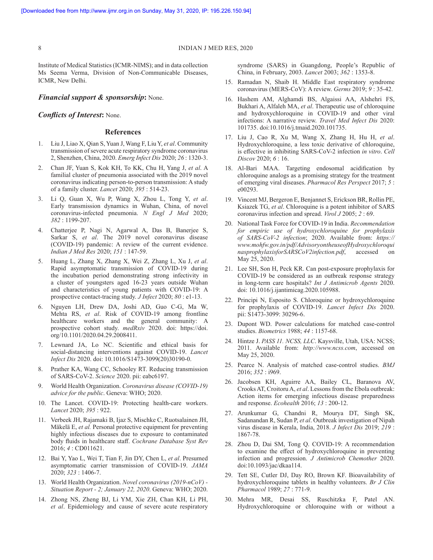Institute of Medical Statistics (ICMR-NIMS); and in data collection Ms Seema Verma, Division of Non-Communicable Diseases, ICMR, New Delhi.

## *Financial support & sponsorship***:** None.

## *Conflicts of Interest***:** None.

## **References**

- 1. Liu J, Liao X, Qian S, Yuan J, Wang F, Liu Y, *et al*. Community transmission of severe acute respiratory syndrome coronavirus 2, Shenzhen, China, 2020. *Emerg Infect Dis* 2020; *26* : 1320-3.
- 2. Chan JF, Yuan S, Kok KH, To KK, Chu H, Yang J, *et al*. A familial cluster of pneumonia associated with the 2019 novel coronavirus indicating person-to-person transmission: A study of a family cluster. *Lancet* 2020; *395* : 514-23.
- 3. Li Q, Guan X, Wu P, Wang X, Zhou L, Tong Y, *et al*. Early transmission dynamics in Wuhan, China, of novel coronavirus-infected pneumonia. *N Engl J Med* 2020; *382* : 1199-207.
- 4. Chatterjee P, Nagi N, Agarwal A, Das B, Banerjee S, Sarkar S, *et al*. The 2019 novel coronavirus disease (COVID-19) pandemic: A review of the current evidence. *Indian J Med Res* 2020; *151* : 147-59.
- 5. Huang L, Zhang X, Zhang X, Wei Z, Zhang L, Xu J, *et al*. Rapid asymptomatic transmission of COVID-19 during the incubation period demonstrating strong infectivity in a cluster of youngsters aged 16-23 years outside Wuhan and characteristics of young patients with COVID-19: A prospective contact-tracing study. *J Infect* 2020; *80* : e1-13.
- 6. Nguyen LH, Drew DA, Joshi AD, Guo C-G, Ma W, Mehta RS, *et al*. Risk of COVID-19 among frontline healthcare workers and the general community: A prospective cohort study. *medRxiv* 2020. doi: https://doi. org/10.1101/2020.04.29.2008411.
- 7. Lewnard JA, Lo NC. Scientific and ethical basis for social-distancing interventions against COVID-19. *Lancet Infect Dis* 2020. doi: 10.1016/S1473-3099(20)30190-0.
- 8. Prather KA, Wang CC, Schooley RT. Reducing transmission of SARS-CoV-2. *Science* 2020. pii: eabc6197.
- 9. World Health Organization. *Coronavirus disease (COVID-19) advice for the public*. Geneva: WHO; 2020.
- 10. The Lancet. COVID-19: Protecting health-care workers. *Lancet* 2020; *395* : 922.
- 11. Verbeek JH, Rajamaki B, Ijaz S, Mischke C, Ruotsalainen JH, Mäkelä E, *et al.* Personal protective equipment for preventing highly infectious diseases due to exposure to contaminated body fluids in healthcare staff. *Cochrane Database Syst Rev*  2016; *4* : CD011621.
- 12. Bai Y, Yao L, Wei T, Tian F, Jin DY, Chen L, *et al*. Presumed asymptomatic carrier transmission of COVID-19. *JAMA* 2020; *323* : 1406-7.
- 13. World Health Organization. *Novel coronavirus (2019-nCoV) Situation Report - 2; January 22, 2020*. Geneva: WHO; 2020.
- 14. Zhong NS, Zheng BJ, Li YM, Xie ZH, Chan KH, Li PH, *et al*. Epidemiology and cause of severe acute respiratory

syndrome (SARS) in Guangdong, People's Republic of China, in February, 2003. *Lancet* 2003; *362* : 1353-8.

- 15. Ramadan N, Shaib H. Middle East respiratory syndrome coronavirus (MERS-CoV): A review. *Germs* 2019; *9* : 35-42.
- 16. Hashem AM, Alghamdi BS, Algaissi AA, Alshehri FS, Bukhari A, Alfaleh MA, *et al*. Therapeutic use of chloroquine and hydroxychloroquine in COVID-19 and other viral infections: A narrative review. *Travel Med Infect Dis* 2020: 101735. doi:10.1016/j.tmaid.2020.101735.
- 17. Liu J, Cao R, Xu M, Wang X, Zhang H, Hu H, *et al*. Hydroxychloroquine, a less toxic derivative of chloroquine, is effective in inhibiting SARS-CoV-2 infection *in vitro*. *Cell Discov* 2020; *6* : 16.
- 18. Al-Bari MAA. Targeting endosomal acidification by chloroquine analogs as a promising strategy for the treatment of emerging viral diseases. *Pharmacol Res Perspect* 2017; *5* : e00293.
- 19. Vincent MJ, Bergeron E, Benjannet S, Erickson BR, Rollin PE, Ksiazek TG, *et al*. Chloroquine is a potent inhibitor of SARS coronavirus infection and spread. *Virol J* 2005; *2* : 69.
- 20. National Task Force for COVID-19 in India. *Recommendation for empiric use of hydroxychloroquine for prophylaxis of SARS-CoV-2 infection*; 2020. Available from: *https:// www.mohfw.gov.in/pdf/AdvisoryontheuseofHydroxychloroqui nasprophylaxisforSARSCoV2infection.pdf*, accessed on May 25, 2020.
- 21. Lee SH, Son H, Peck KR. Can post-exposure prophylaxis for COVID-19 be considered as an outbreak response strategy in long-term care hospitals? *Int J Antimicrob Agents* 2020. doi: 10.1016/j.ijantimicag.2020.105988.
- 22. Principi N, Esposito S. Chloroquine or hydroxychloroquine for prophylaxis of COVID-19. *Lancet Infect Dis* 2020. pii: S1473-3099: 30296-6.
- 23. Dupont WD. Power calculations for matched case-control studies. *Biometrics* 1988; *44* : 1157-68.
- 24. Hintze J. *PASS 11. NCSS, LLC*. Kaysville, Utah, USA: NCSS; 2011. Available from: *http://www.ncss.com*, accessed on May 25, 2020.
- 25. Pearce N. Analysis of matched case-control studies. *BMJ* 2016; *352* : i969.
- 26. Jacobsen KH, Aguirre AA, Bailey CL, Baranova AV, Crooks AT, Croitoru A, *et al*. Lessons from the Ebola outbreak: Action items for emerging infectious disease preparedness and response. *Ecohealth* 2016; *13* : 200-12.
- 27. Arunkumar G, Chandni R, Mourya DT, Singh SK, Sadanandan R, Sudan P, *et al*. Outbreak investigation of Nipah virus disease in Kerala, India, 2018. *J Infect Dis* 2019; *219* : 1867-78.
- 28. Zhou D, Dai SM, Tong Q. COVID-19: A recommendation to examine the effect of hydroxychloroquine in preventing infection and progression. *J Antimicrob Chemother* 2020. doi:10.1093/jac/dkaa114.
- 29. Tett SE, Cutler DJ, Day RO, Brown KF. Bioavailability of hydroxychloroquine tablets in healthy volunteers. *Br J Clin Pharmacol* 1989; *27* : 771-9.
- 30. Mehra MR, Desai SS, Ruschitzka F, Patel AN. Hydroxychloroquine or chloroquine with or without a